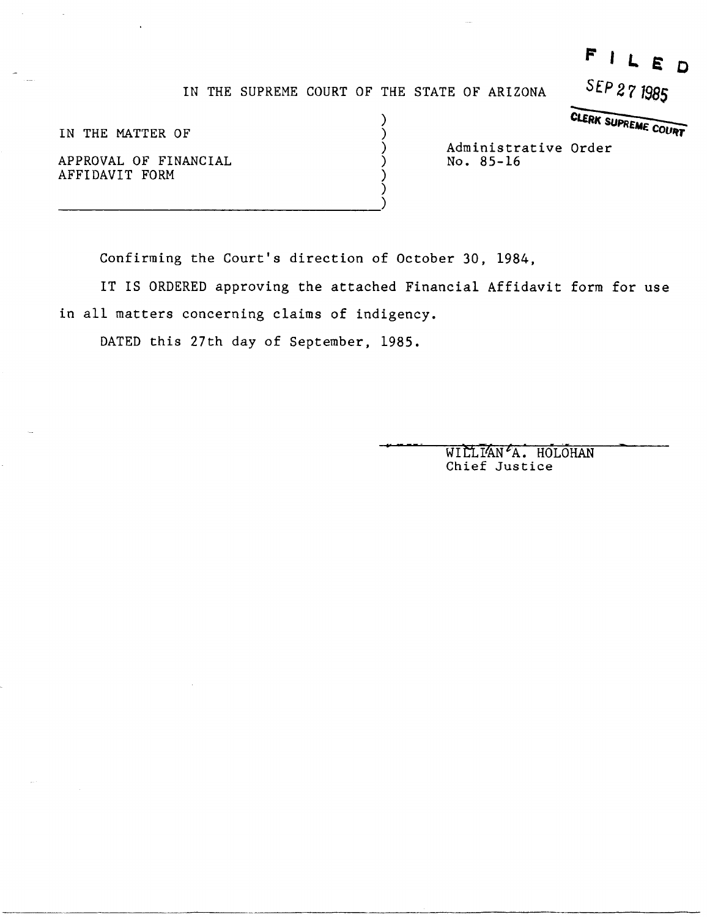## $F I L E D$

IN THE SUPREME COURT OF THE STATE OF ARIZONA **SEP 271985** 

) ) ) ) ) )

IN THE MATTER OF

APPROVAL OF FINANCIAL AFFIDAVIT FORM

E OF ARIZONA SEP 271985 Administrative Order<br>No. 85-16

Confirming the Court's direction of October 30, 1984,

IT IS ORDERED approving the attached Financial Affidavit form for use in all matters concerning claims of indigency.

-\_. \_\_ .. \_-------\_.\_--- -------------------\_.\_-------

DATED this 27th day of September, 1985.

----------------------------------)

WILLIAN<sup>L</sup>A. HOLOHAN Chief Justice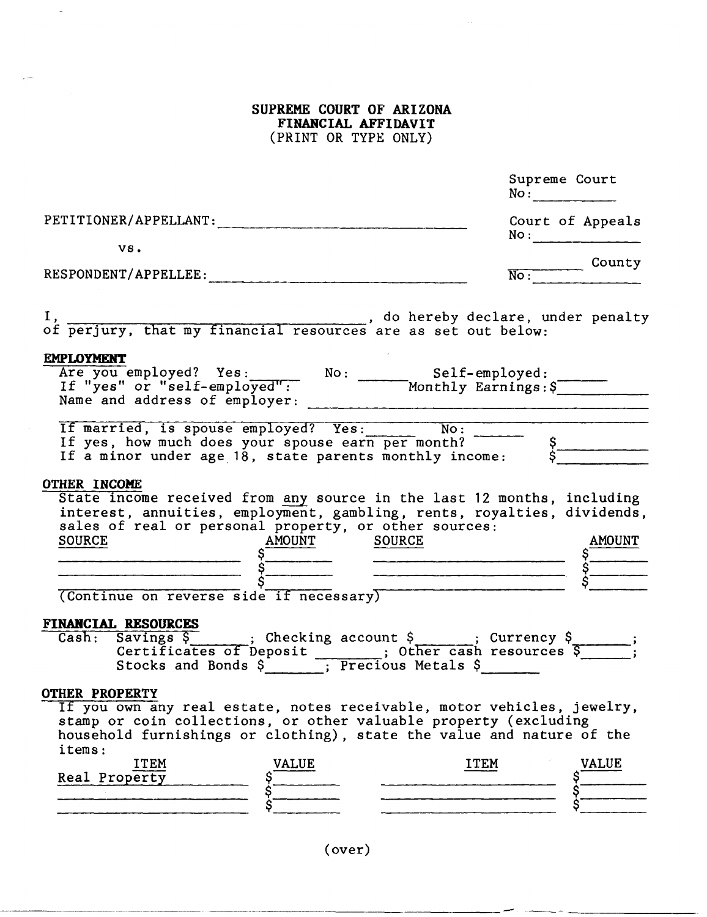**SUPREME COURT OF ARIZONA FINANCIAL AFFIDAVIT**  (PRINT OR TYPE ONLY)

|                                                                                                                                                                                                                                                                                                 | Supreme Court<br>No:                                                  |
|-------------------------------------------------------------------------------------------------------------------------------------------------------------------------------------------------------------------------------------------------------------------------------------------------|-----------------------------------------------------------------------|
| PETITIONER/APPELLANT:                                                                                                                                                                                                                                                                           | Court of Appeals<br>$\text{No}:$                                      |
| VS.                                                                                                                                                                                                                                                                                             |                                                                       |
| RESPONDENT/APPELLEE:                                                                                                                                                                                                                                                                            | No : County                                                           |
|                                                                                                                                                                                                                                                                                                 |                                                                       |
| <b>EMPLOYMENT</b><br>Are you employed? Yes: No: Self-employed:<br>If "yes" or "self-employed": Monthly Earnings: \$                                                                                                                                                                             |                                                                       |
| If married, is spouse employed? Yes: No: No: 5<br>If yes, how much does your spouse earn per month?<br>If a minor under age 18, state parents monthly income: \$                                                                                                                                |                                                                       |
| <b>OTHER INCOME</b><br>State income received from any source in the last 12 months, including<br>interest, annuities, employment, gambling, rents, royalties, dividends,<br>sales of real or personal property, or other sources:<br>SOURCE<br>S<br>S<br>Continue on reverse side if necessary) |                                                                       |
|                                                                                                                                                                                                                                                                                                 |                                                                       |
| FINANCIAL RESOURCES                                                                                                                                                                                                                                                                             |                                                                       |
| <b>OTHER PROPERTY</b><br>If you own any real estate, notes receivable, motor vehicles, jewelry,<br>stamp or coin collections, or other valuable property (excluding                                                                                                                             | household furnishings or clothing), state the value and nature of the |

(over)

------ .-----------

------\_. \_\_ .. \_------\_. ---\_ .. \_ ...

 $\overline{\phantom{a}}$